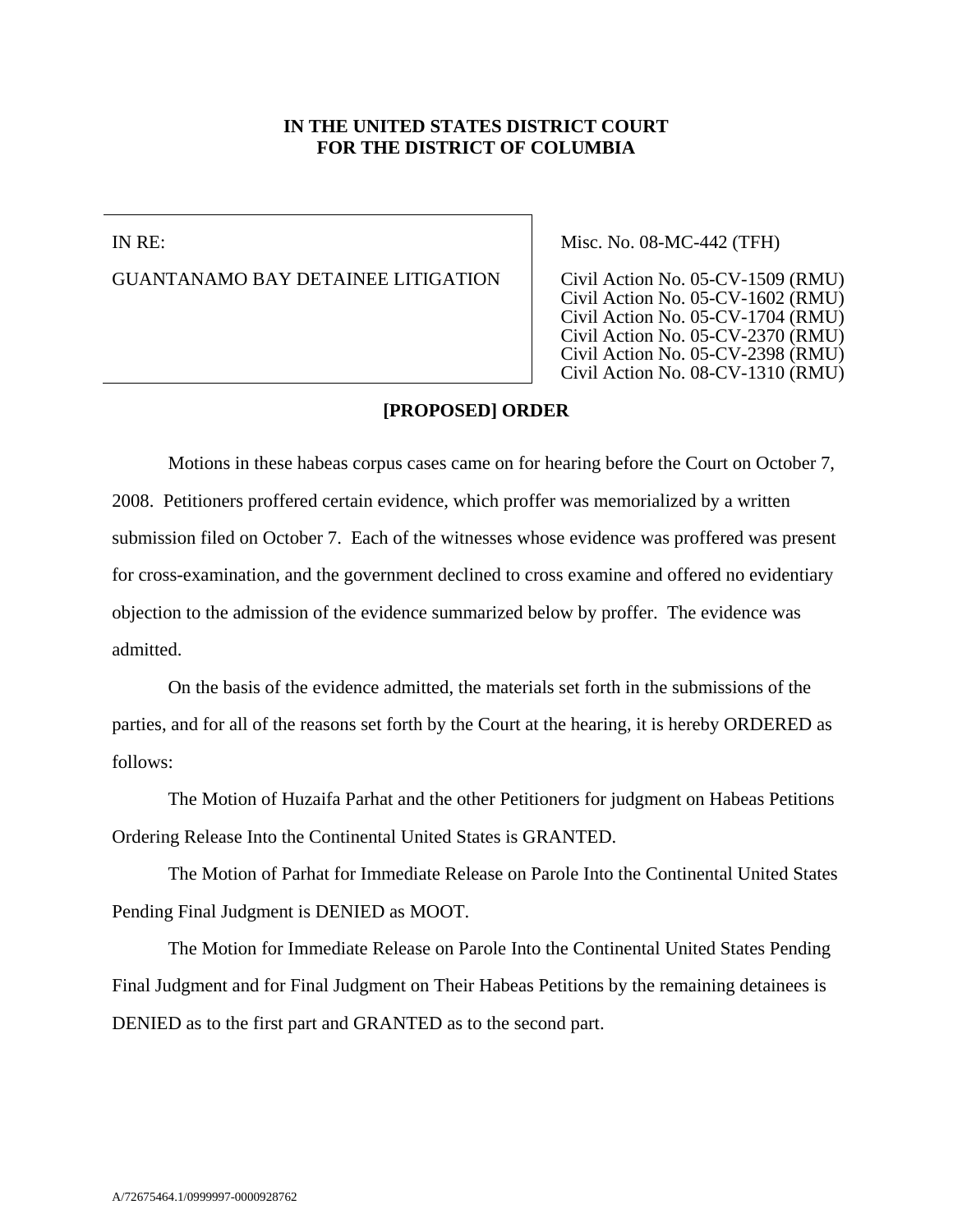## **IN THE UNITED STATES DISTRICT COURT FOR THE DISTRICT OF COLUMBIA**

IN RE:

GUANTANAMO BAY DETAINEE LITIGATION

Misc. No. 08-MC-442 (TFH)

Civil Action No. 05-CV-1509 (RMU) Civil Action No. 05-CV-1602 (RMU) Civil Action No. 05-CV-1704 (RMU) Civil Action No. 05-CV-2370 (RMU) Civil Action No. 05-CV-2398 (RMU) Civil Action No. 08-CV-1310 (RMU)

## **[PROPOSED] ORDER**

Motions in these habeas corpus cases came on for hearing before the Court on October 7, 2008. Petitioners proffered certain evidence, which proffer was memorialized by a written submission filed on October 7. Each of the witnesses whose evidence was proffered was present for cross-examination, and the government declined to cross examine and offered no evidentiary objection to the admission of the evidence summarized below by proffer. The evidence was admitted.

On the basis of the evidence admitted, the materials set forth in the submissions of the parties, and for all of the reasons set forth by the Court at the hearing, it is hereby ORDERED as follows:

The Motion of Huzaifa Parhat and the other Petitioners for judgment on Habeas Petitions Ordering Release Into the Continental United States is GRANTED.

The Motion of Parhat for Immediate Release on Parole Into the Continental United States Pending Final Judgment is DENIED as MOOT.

The Motion for Immediate Release on Parole Into the Continental United States Pending Final Judgment and for Final Judgment on Their Habeas Petitions by the remaining detainees is DENIED as to the first part and GRANTED as to the second part.